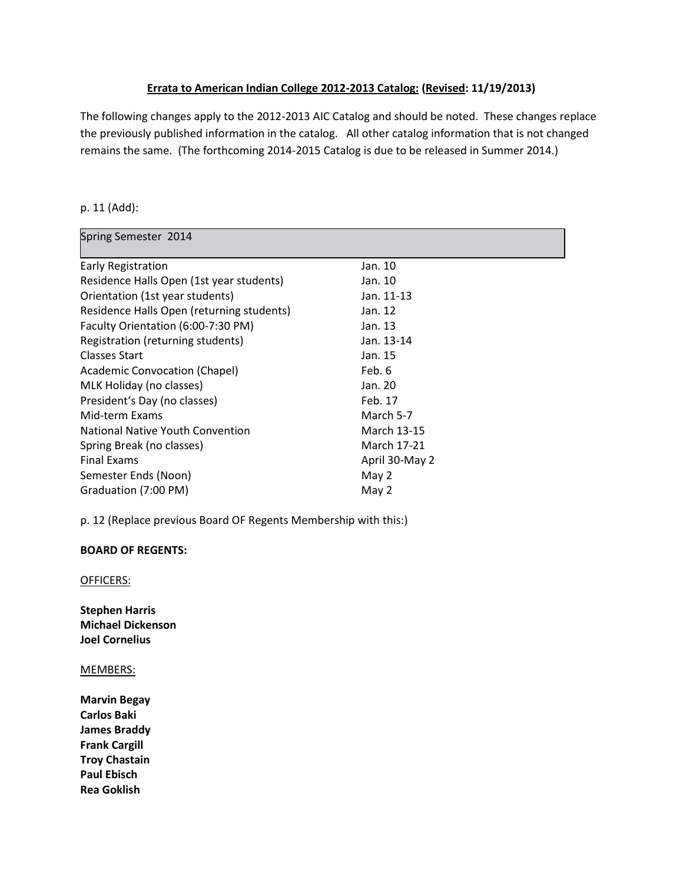### **Errata to American Indian College 2012-2013 Catalog: (Revised: 11/19/2013)**

The following changes apply to the 2012-2013 AIC Catalog and should be noted. These changes replace the previously published information in the catalog. All other catalog information that is not changed remains the same. (The forthcoming 2014-2015 Catalog is due to be released in Summer 2014.)

#### p. 11 (Add):

| Spring Semester 2014                      |                |
|-------------------------------------------|----------------|
| Early Registration                        | Jan. 10        |
| Residence Halls Open (1st year students)  | Jan. 10        |
| Orientation (1st year students)           | Jan. 11-13     |
| Residence Halls Open (returning students) | Jan. 12        |
| Faculty Orientation (6:00-7:30 PM)        | Jan. 13        |
| Registration (returning students)         | Jan. 13-14     |
| Classes Start                             | Jan. 15        |
| <b>Academic Convocation (Chapel)</b>      | Feb. 6         |
| MLK Holiday (no classes)                  | Jan. 20        |
| President's Day (no classes)              | Feb. 17        |
| Mid-term Exams                            | March 5-7      |
| National Native Youth Convention          | March 13-15    |
| Spring Break (no classes)                 | March 17-21    |
| <b>Final Exams</b>                        | April 30-May 2 |
| Semester Ends (Noon)                      | May 2          |
| Graduation (7:00 PM)                      | May 2          |

p. 12 (Replace previous Board OF Regents Membership with this:)

#### **BOARD OF REGENTS:**

OFFICERS:

**Stephen Harris Michael Dickenson Joel Cornelius**

#### MEMBERS:

**Marvin Begay Carlos Baki James Braddy Frank Cargill Troy Chastain Paul Ebisch Rea Goklish**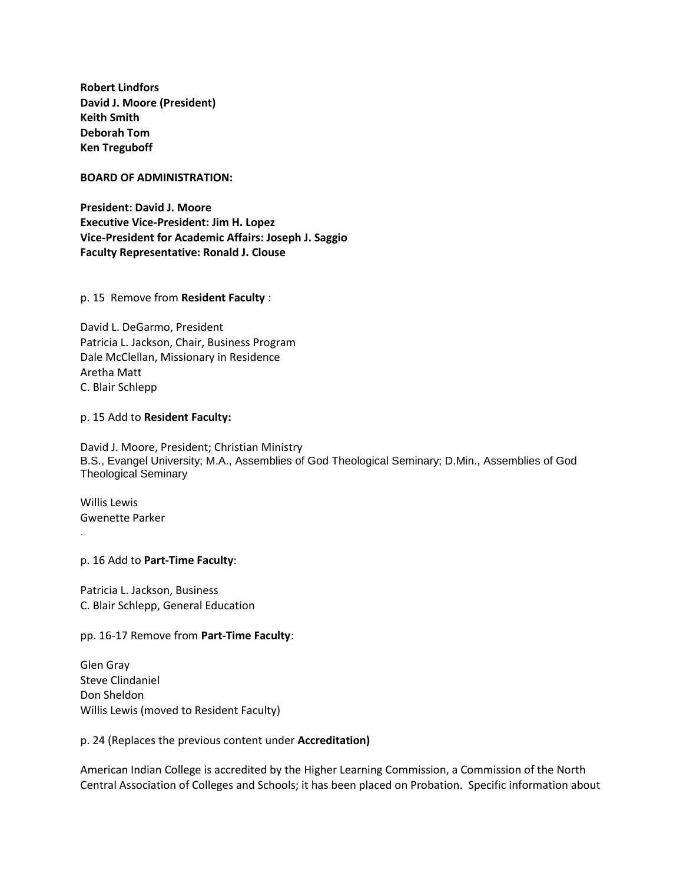**Robert Lindfors David J. Moore (President) Keith Smith Deborah Tom Ken Treguboff**

#### **BOARD OF ADMINISTRATION:**

**President: David J. Moore Executive Vice-President: Jim H. Lopez Vice-President for Academic Affairs: Joseph J. Saggio Faculty Representative: Ronald J. Clouse**

p. 15 Remove from **Resident Faculty** :

David L. DeGarmo, President Patricia L. Jackson, Chair, Business Program Dale McClellan, Missionary in Residence Aretha Matt C. Blair Schlepp

#### p. 15 Add to **Resident Faculty:**

David J. Moore, President; Christian Ministry B.S., Evangel University; M.A., Assemblies of God Theological Seminary; D.Min., Assemblies of God Theological Seminary

Willis Lewis Gwenette Parker

.

#### p. 16 Add to **Part-Time Faculty**:

Patricia L. Jackson, Business C. Blair Schlepp, General Education

#### pp. 16-17 Remove from **Part-Time Faculty**:

Glen Gray Steve Clindaniel Don Sheldon Willis Lewis (moved to Resident Faculty)

#### p. 24 (Replaces the previous content under **Accreditation)**

American Indian College is accredited by the Higher Learning Commission, a Commission of the North Central Association of Colleges and Schools; it has been placed on Probation. Specific information about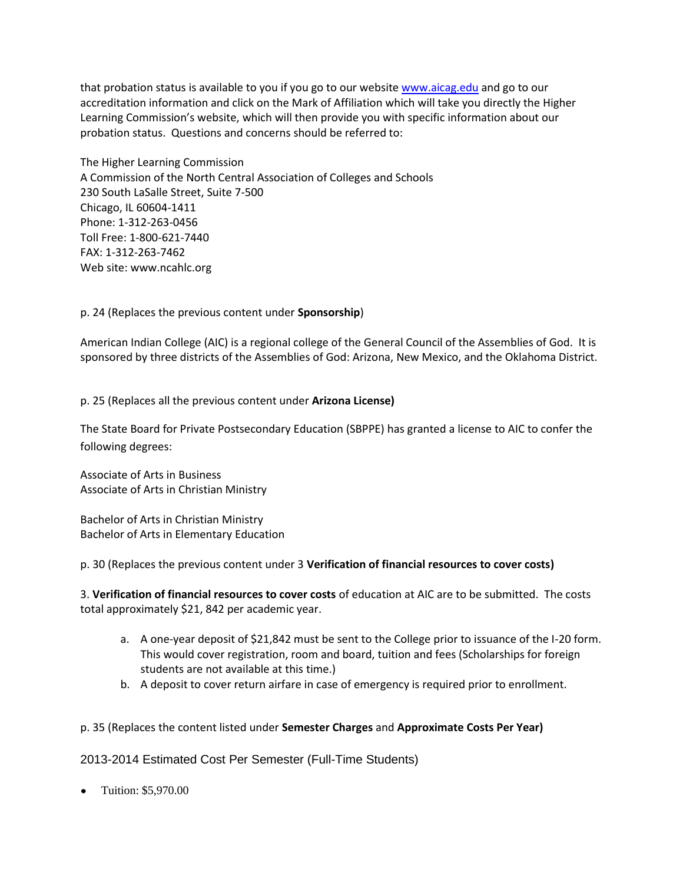that probation status is available to you if you go to our website [www.aicag.edu](http://www.aicag.edu/) and go to our accreditation information and click on the Mark of Affiliation which will take you directly the Higher Learning Commission's website, which will then provide you with specific information about our probation status. Questions and concerns should be referred to:

The Higher Learning Commission A Commission of the North Central Association of Colleges and Schools 230 South LaSalle Street, Suite 7-500 Chicago, IL 60604-1411 Phone: 1-312-263-0456 Toll Free: 1-800-621-7440 FAX: 1-312-263-7462 Web site: www.ncahlc.org

p. 24 (Replaces the previous content under **Sponsorship**)

American Indian College (AIC) is a regional college of the General Council of the Assemblies of God. It is sponsored by three districts of the Assemblies of God: Arizona, New Mexico, and the Oklahoma District.

p. 25 (Replaces all the previous content under **Arizona License)**

The State Board for Private Postsecondary Education (SBPPE) has granted a license to AIC to confer the following degrees:

Associate of Arts in Business Associate of Arts in Christian Ministry

Bachelor of Arts in Christian Ministry Bachelor of Arts in Elementary Education

p. 30 (Replaces the previous content under 3 **Verification of financial resources to cover costs)**

3. **Verification of financial resources to cover costs** of education at AIC are to be submitted. The costs total approximately \$21, 842 per academic year.

- a. A one-year deposit of \$21,842 must be sent to the College prior to issuance of the I-20 form. This would cover registration, room and board, tuition and fees (Scholarships for foreign students are not available at this time.)
- b. A deposit to cover return airfare in case of emergency is required prior to enrollment.
- p. 35 (Replaces the content listed under **Semester Charges** and **Approximate Costs Per Year)**

2013-2014 Estimated Cost Per Semester (Full-Time Students)

Tuition: \$5,970.00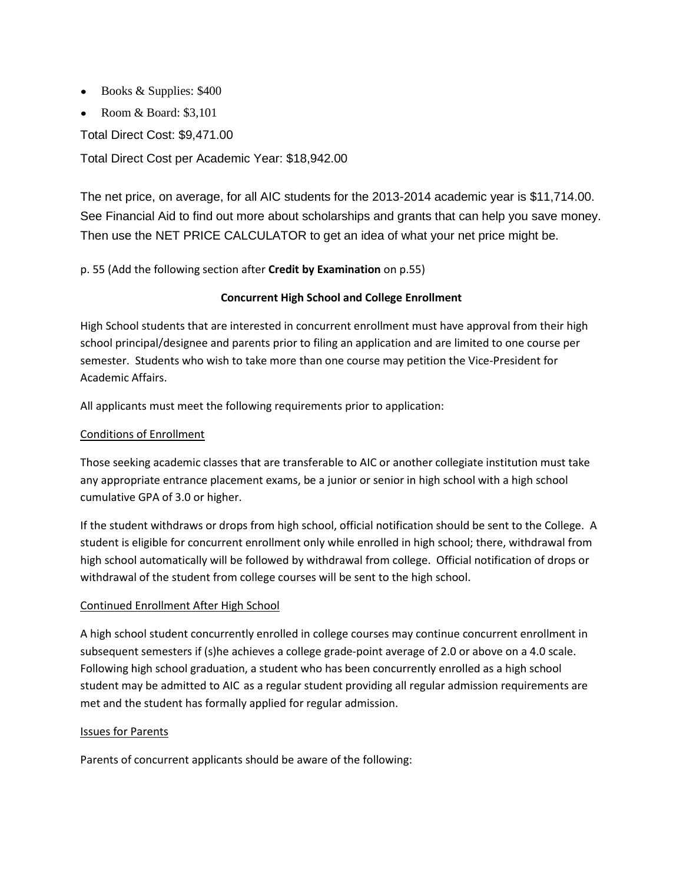- Books & Supplies: \$400
- Room & Board:  $$3,101$

Total Direct Cost: \$9,471.00

Total Direct Cost per Academic Year: \$18,942.00

The net price, on average, for all AIC students for the 2013-2014 academic year is \$11,714.00. See Financial Aid to find out more about scholarships and grants that can help you save money. Then use the NET PRICE CALCULATOR to get an idea of what your net price might be.

### p. 55 (Add the following section after **Credit by Examination** on p.55)

### **Concurrent High School and College Enrollment**

High School students that are interested in concurrent enrollment must have approval from their high school principal/designee and parents prior to filing an application and are limited to one course per semester. Students who wish to take more than one course may petition the Vice-President for Academic Affairs.

All applicants must meet the following requirements prior to application:

### Conditions of Enrollment

Those seeking academic classes that are transferable to AIC or another collegiate institution must take any appropriate entrance placement exams, be a junior or senior in high school with a high school cumulative GPA of 3.0 or higher.

If the student withdraws or drops from high school, official notification should be sent to the College. A student is eligible for concurrent enrollment only while enrolled in high school; there, withdrawal from high school automatically will be followed by withdrawal from college. Official notification of drops or withdrawal of the student from college courses will be sent to the high school.

### Continued Enrollment After High School

A high school student concurrently enrolled in college courses may continue concurrent enrollment in subsequent semesters if (s)he achieves a college grade-point average of 2.0 or above on a 4.0 scale. Following high school graduation, a student who has been concurrently enrolled as a high school student may be admitted to AIC as a regular student providing all regular admission requirements are met and the student has formally applied for regular admission.

#### Issues for Parents

Parents of concurrent applicants should be aware of the following: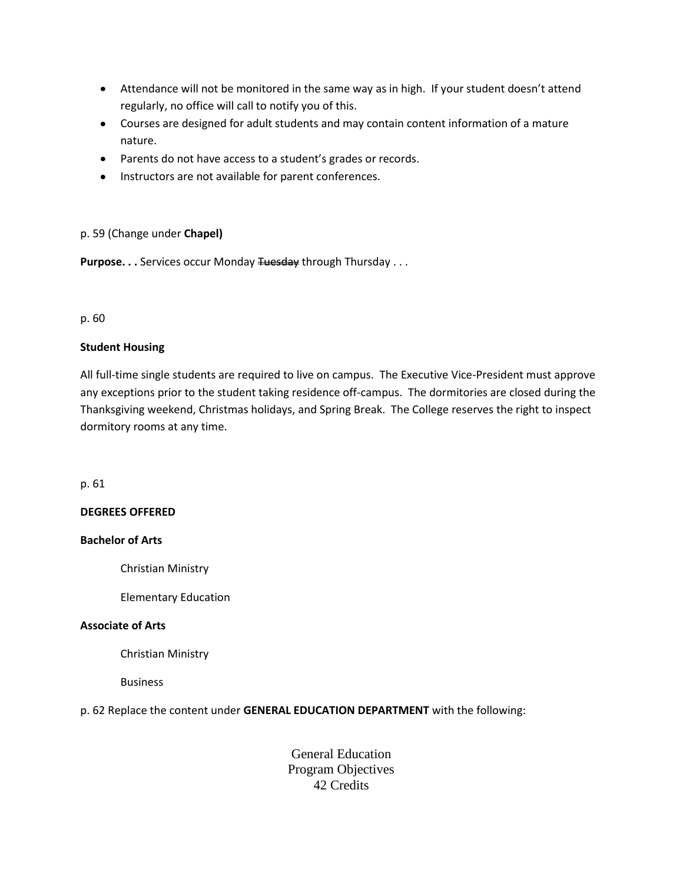- Attendance will not be monitored in the same way as in high. If your student doesn't attend regularly, no office will call to notify you of this.
- Courses are designed for adult students and may contain content information of a mature nature.
- Parents do not have access to a student's grades or records.
- **•** Instructors are not available for parent conferences.

#### p. 59 (Change under **Chapel)**

**Purpose...** Services occur Monday Tuesday through Thursday ...

#### p. 60

#### **Student Housing**

All full-time single students are required to live on campus. The Executive Vice-President must approve any exceptions prior to the student taking residence off-campus. The dormitories are closed during the Thanksgiving weekend, Christmas holidays, and Spring Break. The College reserves the right to inspect dormitory rooms at any time.

p. 61

#### **DEGREES OFFERED**

#### **Bachelor of Arts**

Christian Ministry

Elementary Education

#### **Associate of Arts**

Christian Ministry

Business

#### p. 62 Replace the content under **GENERAL EDUCATION DEPARTMENT** with the following:

General Education Program Objectives 42 Credits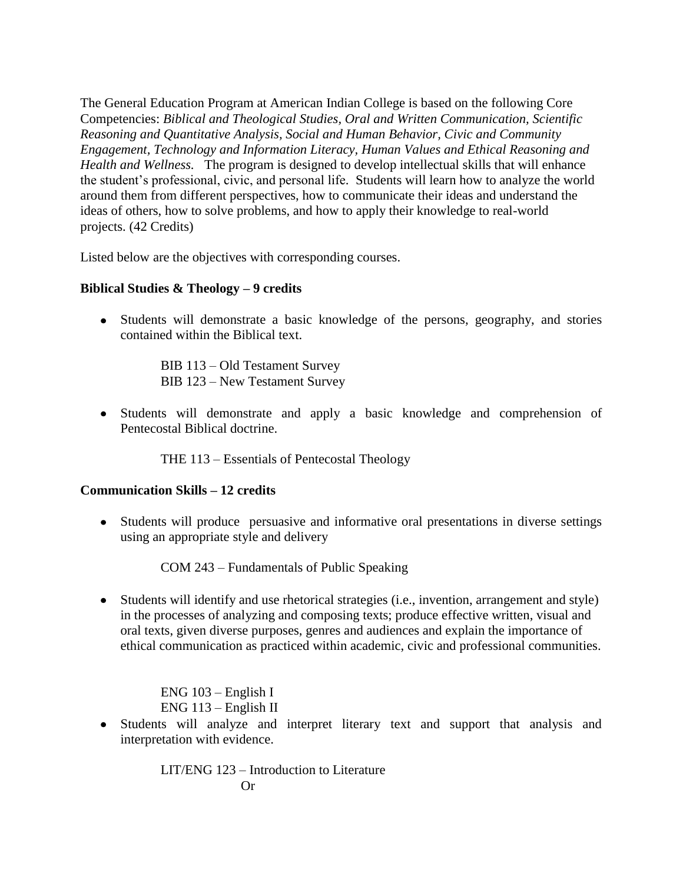The General Education Program at American Indian College is based on the following Core Competencies: *Biblical and Theological Studies, Oral and Written Communication, Scientific Reasoning and Quantitative Analysis, Social and Human Behavior, Civic and Community Engagement, Technology and Information Literacy, Human Values and Ethical Reasoning and Health and Wellness.* The program is designed to develop intellectual skills that will enhance the student's professional, civic, and personal life. Students will learn how to analyze the world around them from different perspectives, how to communicate their ideas and understand the ideas of others, how to solve problems, and how to apply their knowledge to real-world projects. (42 Credits)

Listed below are the objectives with corresponding courses.

# **Biblical Studies & Theology – 9 credits**

Students will demonstrate a basic knowledge of the persons, geography, and stories contained within the Biblical text.

> BIB 113 – Old Testament Survey BIB 123 – New Testament Survey

Students will demonstrate and apply a basic knowledge and comprehension of Pentecostal Biblical doctrine.

THE 113 – Essentials of Pentecostal Theology

# **Communication Skills – 12 credits**

Students will produce persuasive and informative oral presentations in diverse settings using an appropriate style and delivery

COM 243 – Fundamentals of Public Speaking

Students will identify and use rhetorical strategies (i.e., invention, arrangement and style) in the processes of analyzing and composing texts; produce effective written, visual and oral texts, given diverse purposes, genres and audiences and explain the importance of ethical communication as practiced within academic, civic and professional communities.

> ENG 103 – English I ENG 113 – English II

Students will analyze and interpret literary text and support that analysis and interpretation with evidence.

> LIT/ENG 123 – Introduction to Literature Or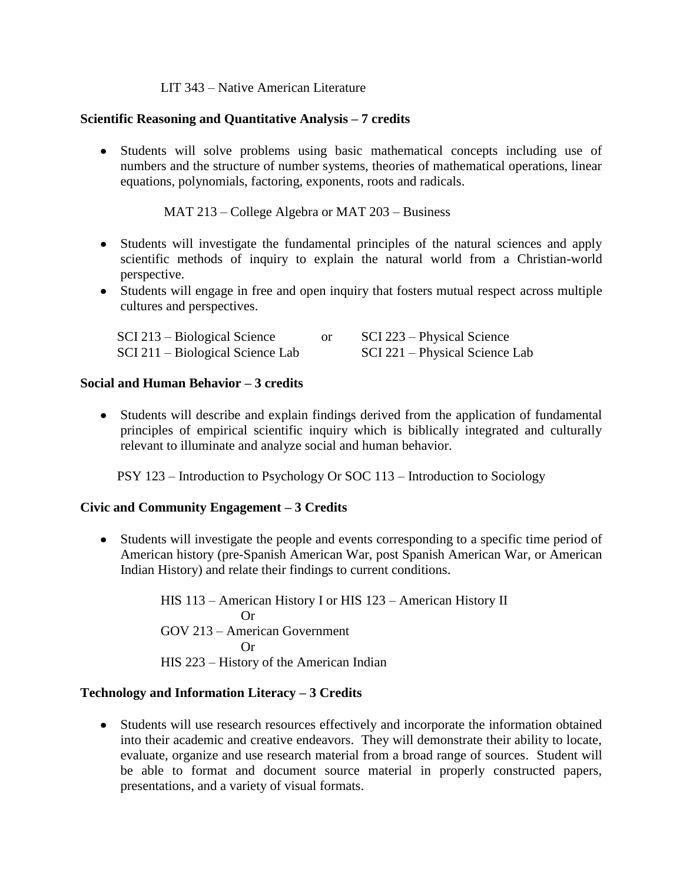# LIT 343 – Native American Literature

# **Scientific Reasoning and Quantitative Analysis – 7 credits**

Students will solve problems using basic mathematical concepts including use of numbers and the structure of number systems, theories of mathematical operations, linear equations, polynomials, factoring, exponents, roots and radicals.

MAT 213 – College Algebra or MAT 203 – Business

- Students will investigate the fundamental principles of the natural sciences and apply scientific methods of inquiry to explain the natural world from a Christian-world perspective.
- Students will engage in free and open inquiry that fosters mutual respect across multiple cultures and perspectives.

| SCI 213 – Biological Science     | SCI 223 – Physical Science     |
|----------------------------------|--------------------------------|
| SCI 211 – Biological Science Lab | SCI 221 – Physical Science Lab |

# **Social and Human Behavior – 3 credits**

Students will describe and explain findings derived from the application of fundamental principles of empirical scientific inquiry which is biblically integrated and culturally relevant to illuminate and analyze social and human behavior.

PSY 123 – Introduction to Psychology Or SOC 113 – Introduction to Sociology

### **Civic and Community Engagement – 3 Credits**

Students will investigate the people and events corresponding to a specific time period of American history (pre-Spanish American War, post Spanish American War, or American Indian History) and relate their findings to current conditions.

> HIS 113 – American History I or HIS 123 – American History II Or GOV 213 – American Government Or HIS 223 – History of the American Indian

# **Technology and Information Literacy – 3 Credits**

Students will use research resources effectively and incorporate the information obtained into their academic and creative endeavors. They will demonstrate their ability to locate, evaluate, organize and use research material from a broad range of sources. Student will be able to format and document source material in properly constructed papers, presentations, and a variety of visual formats.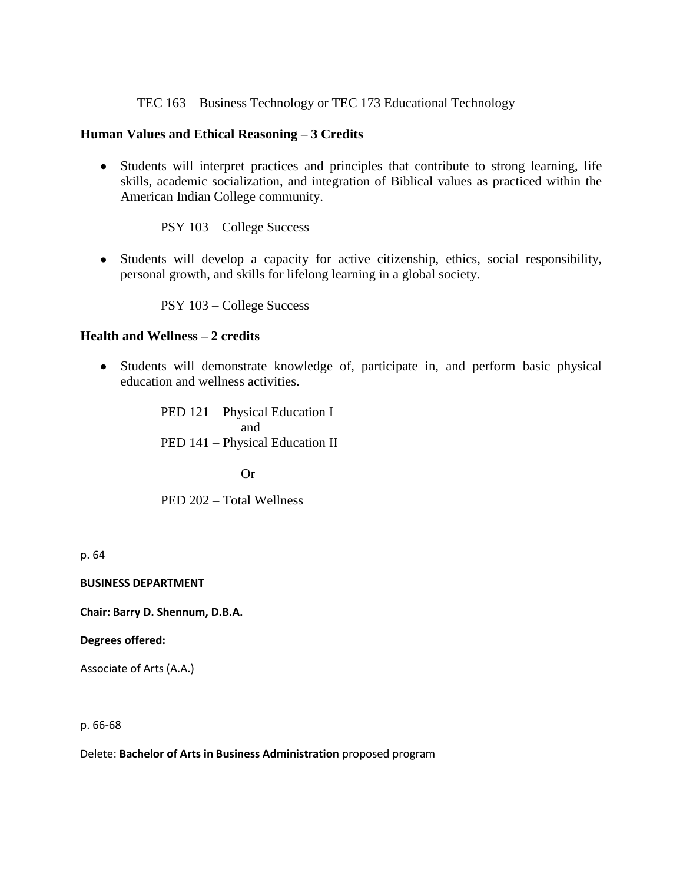TEC 163 – Business Technology or TEC 173 Educational Technology

### **Human Values and Ethical Reasoning – 3 Credits**

Students will interpret practices and principles that contribute to strong learning, life skills, academic socialization, and integration of Biblical values as practiced within the American Indian College community.

PSY 103 – College Success

Students will develop a capacity for active citizenship, ethics, social responsibility, personal growth, and skills for lifelong learning in a global society.

PSY 103 – College Success

### **Health and Wellness – 2 credits**

Students will demonstrate knowledge of, participate in, and perform basic physical education and wellness activities.

> PED 121 – Physical Education I and PED 141 – Physical Education II

> > Or

PED 202 – Total Wellness

p. 64

**BUSINESS DEPARTMENT**

**Chair: Barry D. Shennum, D.B.A.**

#### **Degrees offered:**

Associate of Arts (A.A.)

p. 66-68

Delete: **Bachelor of Arts in Business Administration** proposed program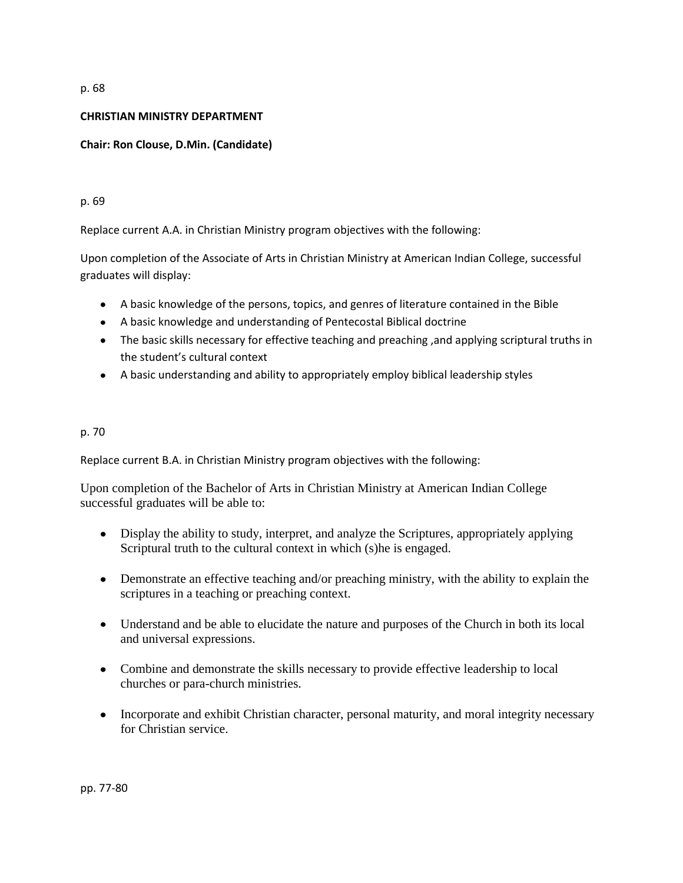#### p. 68

#### **CHRISTIAN MINISTRY DEPARTMENT**

### **Chair: Ron Clouse, D.Min. (Candidate)**

#### p. 69

Replace current A.A. in Christian Ministry program objectives with the following:

Upon completion of the Associate of Arts in Christian Ministry at American Indian College, successful graduates will display:

- A basic knowledge of the persons, topics, and genres of literature contained in the Bible
- A basic knowledge and understanding of Pentecostal Biblical doctrine
- The basic skills necessary for effective teaching and preaching ,and applying scriptural truths in the student's cultural context
- A basic understanding and ability to appropriately employ biblical leadership styles

### p. 70

Replace current B.A. in Christian Ministry program objectives with the following:

Upon completion of the Bachelor of Arts in Christian Ministry at American Indian College successful graduates will be able to:

- Display the ability to study, interpret, and analyze the Scriptures, appropriately applying Scriptural truth to the cultural context in which (s)he is engaged.
- Demonstrate an effective teaching and/or preaching ministry, with the ability to explain the scriptures in a teaching or preaching context.
- Understand and be able to elucidate the nature and purposes of the Church in both its local and universal expressions.
- Combine and demonstrate the skills necessary to provide effective leadership to local churches or para-church ministries.
- Incorporate and exhibit Christian character, personal maturity, and moral integrity necessary for Christian service.